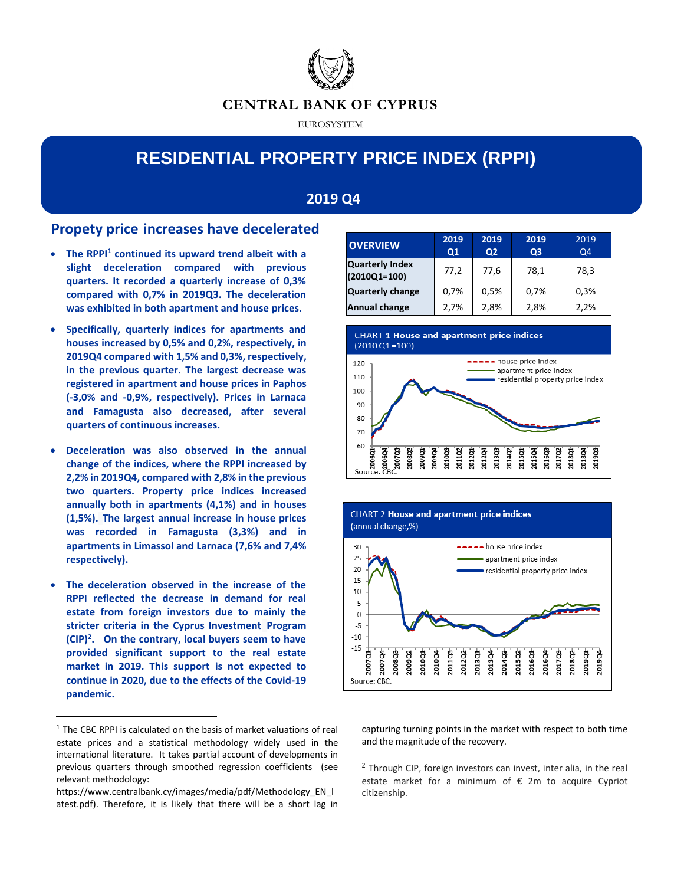

EUROSYSTEM

# **RESIDENTIAL PROPERTY PRICE INDEX (RPPI)**

## **2019 Q4**

## **Propety price increases have decelerated**

- **The RPPI<sup>1</sup> continued its upward trend albeit with a slight deceleration compared with previous quarters. It recorded a quarterly increase of 0,3% compared with 0,7% in 2019Q3. The deceleration was exhibited in both apartment and house prices.**
- **Specifically, quarterly indices for apartments and houses increased by 0,5% and 0,2%, respectively, in 2019Q4 compared with 1,5% and 0,3%, respectively, in the previous quarter. The largest decrease was registered in apartment and house prices in Paphos (-3,0% and -0,9%, respectively). Prices in Larnaca and Famagusta also decreased, after several quarters of continuous increases.**
- **Deceleration was also observed in the annual change of the indices, where the RPPI increased by 2,2% in 2019Q4, compared with 2,8% in the previous two quarters. Property price indices increased annually both in apartments (4,1%) and in houses (1,5%). The largest annual increase in house prices was recorded in Famagusta (3,3%) and in apartments in Limassol and Larnaca (7,6% and 7,4% respectively).**
- **The deceleration observed in the increase of the RPPI reflected the decrease in demand for real estate from foreign investors due to mainly the stricter criteria in the Cyprus Investment Program (CIP)<sup>2</sup> . On the contrary, local buyers seem to have provided significant support to the real estate market in 2019. This support is not expected to continue in 2020, due to the effects of the Covid-19 pandemic.**

 $\overline{a}$ 

| <b>OVERVIEW</b>                          | 2019<br>Q1 | 2019<br>Q <sub>2</sub> | 2019<br>Q <sub>3</sub> | 2019<br>Q4 |  |
|------------------------------------------|------------|------------------------|------------------------|------------|--|
| <b>Quarterly Index</b><br>$(2010Q1=100)$ | 77,2       | 77.6                   | 78,1                   | 78,3       |  |
| <b>Quarterly change</b>                  | 0,7%       | 0,5%                   | 0,7%                   | 0,3%       |  |
| <b>Annual change</b>                     | 2,7%       | 2,8%                   | 2,8%                   | 2,2%       |  |







capturing turning points in the market with respect to both time and the magnitude of the recovery.

<sup>2</sup> Through CIP, foreign investors can invest, inter alia, in the real estate market for a minimum of € 2m to acquire Cypriot citizenship.

 $<sup>1</sup>$  The CBC RPPI is calculated on the basis of market valuations of real</sup> estate prices and a statistical methodology widely used in the international literature. It takes partial account of developments in previous quarters through smoothed regression coefficients (see relevant methodology:

https://www.centralbank.cy/images/media/pdf/Methodology\_EN\_l atest.pdf). Therefore, it is likely that there will be a short lag in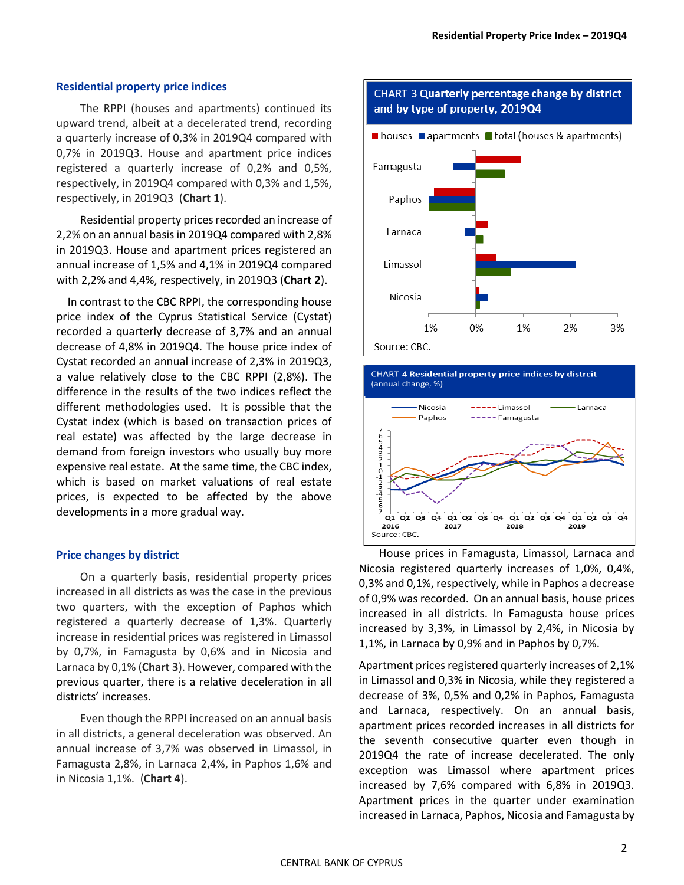#### **Residential property price indices**

The RPPI (houses and apartments) continued its upward trend, albeit at a decelerated trend, recording a quarterly increase of 0,3% in 2019Q4 compared with 0,7% in 2019Q3. House and apartment price indices registered a quarterly increase of 0,2% and 0,5%, respectively, in 2019Q4 compared with 0,3% and 1,5%, respectively, in 2019Q3 (**Chart 1**).

Residential property prices recorded an increase of 2,2% on an annual basis in 2019Q4 compared with 2,8% in 2019Q3. House and apartment prices registered an annual increase of 1,5% and 4,1% in 2019Q4 compared with 2,2% and 4,4%, respectively, in 2019Q3 (**Chart 2**).

 In contrast to the CBC RPPI, the corresponding house price index of the Cyprus Statistical Service (Cystat) recorded a quarterly decrease of 3,7% and an annual decrease of 4,8% in 2019Q4. The house price index of Cystat recorded an annual increase of 2,3% in 2019Q3, a value relatively close to the CBC RPPI (2,8%). The difference in the results of the two indices reflect the different methodologies used. It is possible that the Cystat index (which is based on transaction prices of real estate) was affected by the large decrease in demand from foreign investors who usually buy more expensive real estate. At the same time, the CBC index, which is based on market valuations of real estate prices, is expected to be affected by the above developments in a more gradual way.

#### **Price changes by district**

On a quarterly basis, residential property prices increased in all districts as was the case in the previous two quarters, with the exception of Paphos which registered a quarterly decrease of 1,3%. Quarterly increase in residential prices was registered in Limassol by 0,7%, in Famagusta by 0,6% and in Nicosia and Larnaca by 0,1% (**Chart 3**). However, compared with the previous quarter, there is a relative deceleration in all districts' increases.

Even though the RPPI increased on an annual basis in all districts, a general deceleration was observed. An annual increase of 3,7% was observed in Limassol, in Famagusta 2,8%, in Larnaca 2,4%, in Paphos 1,6% and in Nicosia 1,1%. (**Chart 4**).



### CHART 3 Quarterly percentage change by district and by type of property, 2019Q4



House prices in Famagusta, Limassol, Larnaca and Nicosia registered quarterly increases of 1,0%, 0,4%, 0,3% and 0,1%, respectively, while in Paphos a decrease of 0,9% was recorded. On an annual basis, house prices increased in all districts. In Famagusta house prices increased by 3,3%, in Limassol by 2,4%, in Nicosia by 1,1%, in Larnaca by 0,9% and in Paphos by 0,7%.

Apartment prices registered quarterly increases of 2,1% in Limassol and 0,3% in Nicosia, while they registered a decrease of 3%, 0,5% and 0,2% in Paphos, Famagusta and Larnaca, respectively. On an annual basis, apartment prices recorded increases in all districts for the seventh consecutive quarter even though in 2019Q4 the rate of increase decelerated. The only exception was Limassol where apartment prices increased by 7,6% compared with 6,8% in 2019Q3. Apartment prices in the quarter under examination increased in Larnaca, Paphos, Nicosia and Famagusta by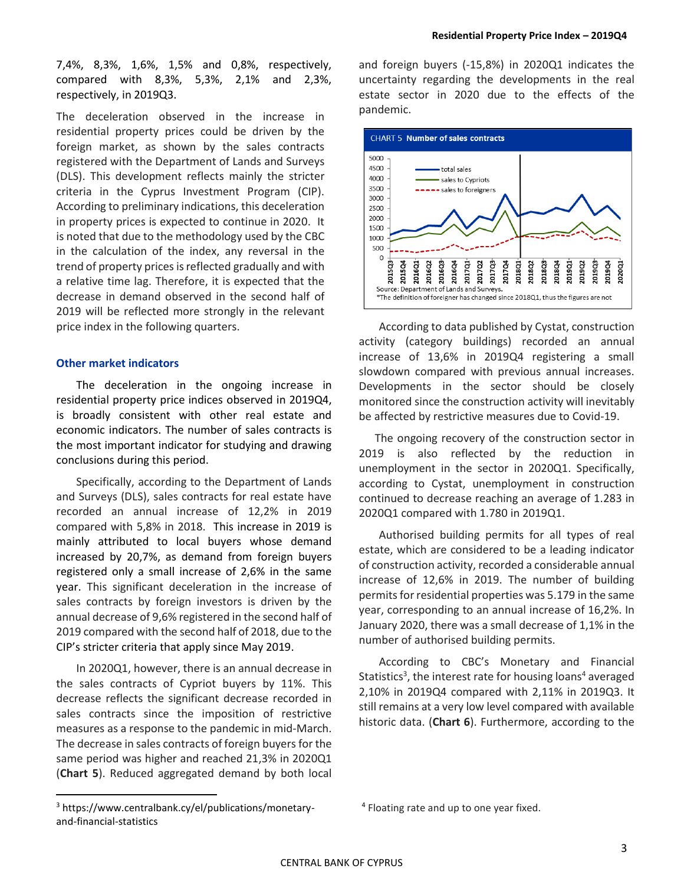7,4%, 8,3%, 1,6%, 1,5% and 0,8%, respectively, compared with 8,3%, 5,3%, 2,1% and 2,3%, respectively, in 2019Q3.

The deceleration observed in the increase in residential property prices could be driven by the foreign market, as shown by the sales contracts registered with the Department of Lands and Surveys (DLS). This development reflects mainly the stricter criteria in the Cyprus Investment Program (CIP). According to preliminary indications, this deceleration in property prices is expected to continue in 2020. It is noted that due to the methodology used by the CBC in the calculation of the index, any reversal in the trend of property prices is reflected gradually and with a relative time lag. Therefore, it is expected that the decrease in demand observed in the second half of 2019 will be reflected more strongly in the relevant price index in the following quarters.

#### **Other market indicators**

The deceleration in the ongoing increase in residential property price indices observed in 2019Q4, is broadly consistent with other real estate and economic indicators. The number of sales contracts is the most important indicator for studying and drawing conclusions during this period.

Specifically, according to the Department of Lands and Surveys (DLS), sales contracts for real estate have recorded an annual increase of 12,2% in 2019 compared with 5,8% in 2018. This increase in 2019 is mainly attributed to local buyers whose demand increased by 20,7%, as demand from foreign buyers registered only a small increase of 2,6% in the same year. This significant deceleration in the increase of sales contracts by foreign investors is driven by the annual decrease of 9,6% registered in the second half of 2019 compared with the second half of 2018, due to the CIP's stricter criteria that apply since May 2019.

In 2020Q1, however, there is an annual decrease in the sales contracts of Cypriot buyers by 11%. This decrease reflects the significant decrease recorded in sales contracts since the imposition of restrictive measures as a response to the pandemic in mid-March. The decrease in sales contracts of foreign buyers for the same period was higher and reached 21,3% in 2020Q1 (**Chart 5**). Reduced aggregated demand by both local

and foreign buyers (-15,8%) in 2020Q1 indicates the uncertainty regarding the developments in the real estate sector in 2020 due to the effects of the pandemic.



According to data published by Cystat, construction activity (category buildings) recorded an annual increase of 13,6% in 2019Q4 registering a small slowdown compared with previous annual increases. Developments in the sector should be closely monitored since the construction activity will inevitably be affected by restrictive measures due to Covid-19.

The ongoing recovery of the construction sector in 2019 is also reflected by the reduction in unemployment in the sector in 2020Q1. Specifically, according to Cystat, unemployment in construction continued to decrease reaching an average of 1.283 in 2020Q1 compared with 1.780 in 2019Q1.

Authorised building permits for all types of real estate, which are considered to be a leading indicator of construction activity, recorded a considerable annual increase of 12,6% in 2019. The number of building permits for residential properties was 5.179 in the same year, corresponding to an annual increase of 16,2%. In January 2020, there was a small decrease of 1,1% in the number of authorised building permits.

According to CBC's Monetary and Financial Statistics<sup>3</sup>, the interest rate for housing loans<sup>4</sup> averaged 2,10% in 2019Q4 compared with 2,11% in 2019Q3. It still remains at a very low level compared with available historic data. (**Chart 6**). Furthermore, according to the

 $\overline{a}$ 

<sup>3</sup> https://www.centralbank.cy/el/publications/monetaryand-financial-statistics

<sup>&</sup>lt;sup>4</sup> Floating rate and up to one year fixed.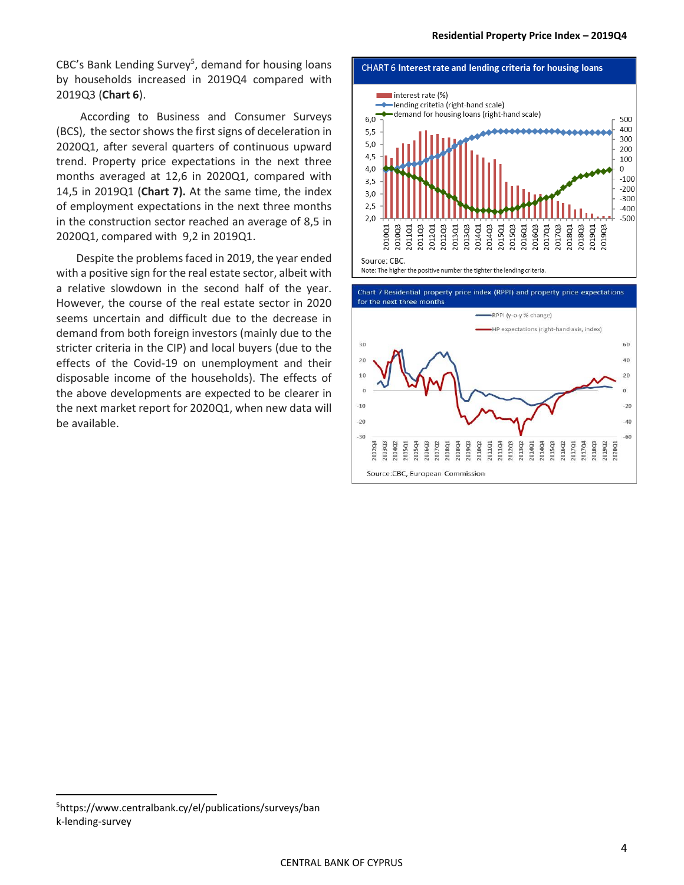CBC's Bank Lending Survey<sup>5</sup>, demand for housing loans by households increased in 2019Q4 compared with 2019Q3 (**Chart 6**).

According to Business and Consumer Surveys (BCS), the sector shows the first signs of deceleration in 2020Q1, after several quarters of continuous upward trend. Property price expectations in the next three months averaged at 12,6 in 2020Q1, compared with 14,5 in 2019Q1 (**Chart 7).** At the same time, the index of employment expectations in the next three months in the construction sector reached an average of 8,5 in 2020Q1, compared with 9,2 in 2019Q1.

Despite the problems faced in 2019, the year ended with a positive sign for the real estate sector, albeit with a relative slowdown in the second half of the year. However, the course of the real estate sector in 2020 seems uncertain and difficult due to the decrease in demand from both foreign investors (mainly due to the stricter criteria in the CIP) and local buyers (due to the effects of the Covid-19 on unemployment and their disposable income of the households). The effects of the above developments are expected to be clearer in the next market report for 2020Q1, when new data will be available.





 $\overline{a}$ 

<sup>5</sup>https://www.centralbank.cy/el/publications/surveys/ban k-lending-survey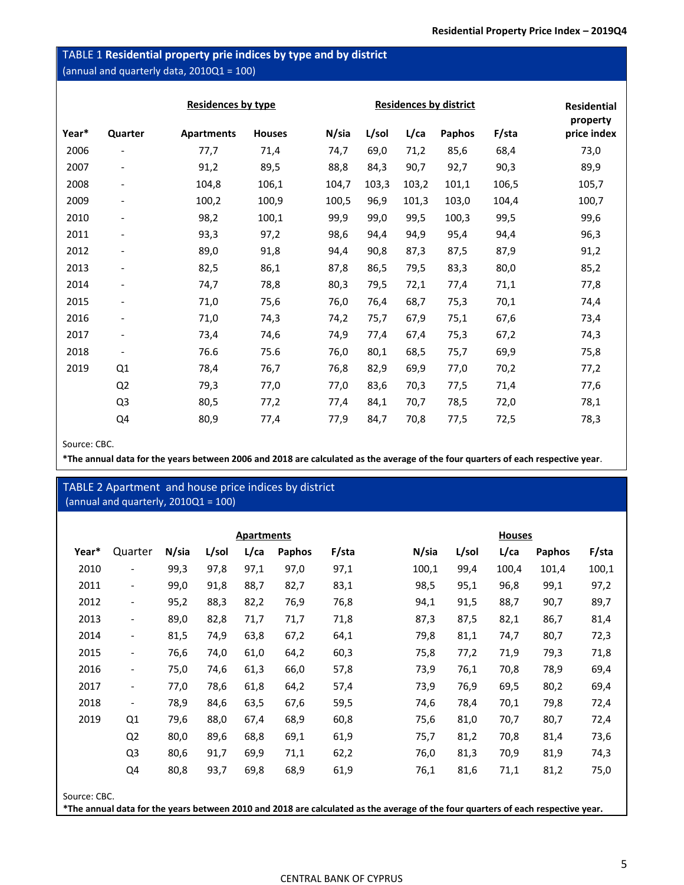## TABLE 1 **Residential property prie indices by type and by district**  (annual and quarterly data, 2010Q1 = 100)

|       |                          | <b>Residences by type</b> |               |       | <b>Residences by district</b> | Residential |        |       |                         |
|-------|--------------------------|---------------------------|---------------|-------|-------------------------------|-------------|--------|-------|-------------------------|
| Year* | Quarter                  | <b>Apartments</b>         | <b>Houses</b> | N/sia | L/sol                         | $L$ /ca     | Paphos | F/sta | property<br>price index |
| 2006  | $\overline{\phantom{a}}$ | 77,7                      | 71,4          | 74,7  | 69,0                          | 71,2        | 85,6   | 68,4  | 73,0                    |
| 2007  | $\overline{\phantom{a}}$ | 91,2                      | 89,5          | 88,8  | 84,3                          | 90,7        | 92,7   | 90,3  | 89,9                    |
| 2008  | $\overline{\phantom{a}}$ | 104,8                     | 106,1         | 104,7 | 103,3                         | 103,2       | 101,1  | 106,5 | 105,7                   |
| 2009  | $\overline{\phantom{a}}$ | 100,2                     | 100,9         | 100,5 | 96,9                          | 101,3       | 103,0  | 104,4 | 100,7                   |
| 2010  | $\overline{\phantom{a}}$ | 98,2                      | 100,1         | 99,9  | 99,0                          | 99,5        | 100,3  | 99,5  | 99,6                    |
| 2011  | $\overline{\phantom{a}}$ | 93,3                      | 97,2          | 98,6  | 94,4                          | 94,9        | 95,4   | 94,4  | 96,3                    |
| 2012  | $\overline{\phantom{a}}$ | 89,0                      | 91,8          | 94,4  | 90,8                          | 87,3        | 87,5   | 87,9  | 91,2                    |
| 2013  | $\overline{\phantom{a}}$ | 82,5                      | 86,1          | 87,8  | 86,5                          | 79,5        | 83,3   | 80,0  | 85,2                    |
| 2014  | $\overline{\phantom{a}}$ | 74,7                      | 78,8          | 80,3  | 79,5                          | 72,1        | 77,4   | 71,1  | 77,8                    |
| 2015  | $\overline{\phantom{a}}$ | 71,0                      | 75,6          | 76,0  | 76,4                          | 68,7        | 75,3   | 70,1  | 74,4                    |
| 2016  | $\overline{\phantom{a}}$ | 71,0                      | 74,3          | 74,2  | 75,7                          | 67,9        | 75,1   | 67,6  | 73,4                    |
| 2017  | $\overline{\phantom{a}}$ | 73,4                      | 74,6          | 74,9  | 77,4                          | 67,4        | 75,3   | 67,2  | 74,3                    |
| 2018  | $\overline{\phantom{a}}$ | 76.6                      | 75.6          | 76,0  | 80,1                          | 68,5        | 75,7   | 69,9  | 75,8                    |
| 2019  | Q1                       | 78,4                      | 76,7          | 76,8  | 82,9                          | 69,9        | 77,0   | 70,2  | 77,2                    |
|       | Q <sub>2</sub>           | 79,3                      | 77,0          | 77,0  | 83,6                          | 70,3        | 77,5   | 71,4  | 77,6                    |
|       | Q3                       | 80,5                      | 77,2          | 77,4  | 84,1                          | 70,7        | 78,5   | 72,0  | 78,1                    |
|       | Q4                       | 80,9                      | 77,4          | 77,9  | 84,7                          | 70,8        | 77,5   | 72,5  | 78,3                    |

Source: CBC.

**\*The annual data for the years between 2006 and 2018 are calculated as the average of the four quarters of each respective year**.

|                                         | TABLE 2 Apartment and house price indices by district |       |       |                   |        |               |                                                                                                                                  |       |       |               |       |
|-----------------------------------------|-------------------------------------------------------|-------|-------|-------------------|--------|---------------|----------------------------------------------------------------------------------------------------------------------------------|-------|-------|---------------|-------|
| (annual and quarterly, $2010Q1 = 100$ ) |                                                       |       |       |                   |        |               |                                                                                                                                  |       |       |               |       |
|                                         |                                                       |       |       |                   |        |               |                                                                                                                                  |       |       |               |       |
|                                         |                                                       |       |       | <b>Apartments</b> |        | <b>Houses</b> |                                                                                                                                  |       |       |               |       |
| Year*                                   | Quarter                                               | N/sia | L/sol | $L$ /ca           | Paphos | F/sta         | N/sia                                                                                                                            | L/sol | L/ca  | <b>Paphos</b> | F/sta |
| 2010                                    |                                                       | 99,3  | 97,8  | 97,1              | 97,0   | 97,1          | 100,1                                                                                                                            | 99,4  | 100,4 | 101,4         | 100,1 |
| 2011                                    | $\overline{\phantom{a}}$                              | 99,0  | 91,8  | 88,7              | 82,7   | 83,1          | 98,5                                                                                                                             | 95,1  | 96,8  | 99,1          | 97,2  |
| 2012                                    | $\overline{\phantom{a}}$                              | 95,2  | 88,3  | 82,2              | 76,9   | 76,8          | 94,1                                                                                                                             | 91,5  | 88,7  | 90,7          | 89,7  |
| 2013                                    | $\overline{\phantom{a}}$                              | 89,0  | 82,8  | 71,7              | 71,7   | 71,8          | 87,3                                                                                                                             | 87,5  | 82,1  | 86,7          | 81,4  |
| 2014                                    | $\overline{\phantom{a}}$                              | 81,5  | 74,9  | 63,8              | 67,2   | 64,1          | 79,8                                                                                                                             | 81,1  | 74,7  | 80,7          | 72,3  |
| 2015                                    | $\overline{\phantom{a}}$                              | 76,6  | 74,0  | 61,0              | 64,2   | 60,3          | 75,8                                                                                                                             | 77,2  | 71,9  | 79,3          | 71,8  |
| 2016                                    | $\overline{\phantom{a}}$                              | 75,0  | 74,6  | 61,3              | 66,0   | 57,8          | 73,9                                                                                                                             | 76,1  | 70,8  | 78,9          | 69,4  |
| 2017                                    | $\overline{\phantom{a}}$                              | 77,0  | 78,6  | 61,8              | 64,2   | 57,4          | 73,9                                                                                                                             | 76,9  | 69,5  | 80,2          | 69,4  |
| 2018                                    | $\overline{\phantom{a}}$                              | 78,9  | 84,6  | 63,5              | 67,6   | 59,5          | 74,6                                                                                                                             | 78,4  | 70,1  | 79,8          | 72,4  |
| 2019                                    | Q1                                                    | 79,6  | 88,0  | 67,4              | 68,9   | 60,8          | 75,6                                                                                                                             | 81,0  | 70,7  | 80,7          | 72,4  |
|                                         | Q <sub>2</sub>                                        | 80,0  | 89,6  | 68,8              | 69,1   | 61,9          | 75,7                                                                                                                             | 81,2  | 70,8  | 81,4          | 73,6  |
|                                         | Q <sub>3</sub>                                        | 80,6  | 91,7  | 69,9              | 71,1   | 62,2          | 76,0                                                                                                                             | 81,3  | 70,9  | 81,9          | 74,3  |
|                                         | Q4                                                    | 80,8  | 93,7  | 69,8              | 68,9   | 61,9          | 76,1                                                                                                                             | 81,6  | 71,1  | 81,2          | 75,0  |
|                                         |                                                       |       |       |                   |        |               |                                                                                                                                  |       |       |               |       |
| Source: CBC.                            |                                                       |       |       |                   |        |               |                                                                                                                                  |       |       |               |       |
|                                         |                                                       |       |       |                   |        |               | *The annual data for the years between 2010 and 2018 are calculated as the average of the four quarters of each respective year. |       |       |               |       |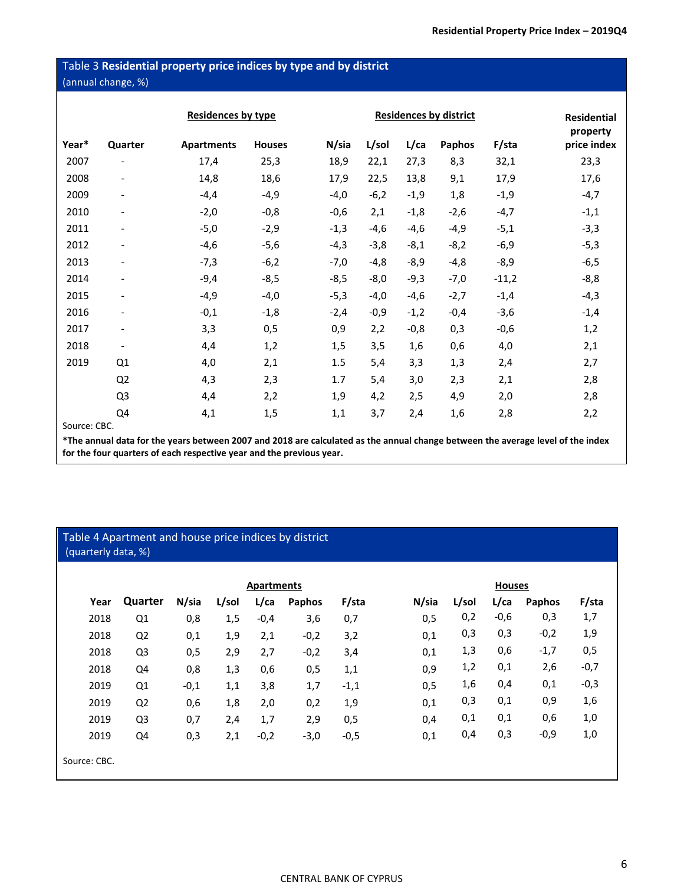## Table 3 **Residential property price indices by type and by district**  (annual change, %)

|       |                              | <b>Residences by type</b> |               |        | <b>Residential</b><br>property |         |        |         |             |
|-------|------------------------------|---------------------------|---------------|--------|--------------------------------|---------|--------|---------|-------------|
| Year* | Quarter                      | <b>Apartments</b>         | <b>Houses</b> | N/sia  | L/sol                          | $L$ /ca | Paphos | F/sta   | price index |
| 2007  | $\overline{\phantom{a}}$     | 17,4                      | 25,3          | 18,9   | 22,1                           | 27,3    | 8,3    | 32,1    | 23,3        |
| 2008  | $\overline{\phantom{a}}$     | 14,8                      | 18,6          | 17,9   | 22,5                           | 13,8    | 9,1    | 17,9    | 17,6        |
| 2009  | $\qquad \qquad \blacksquare$ | $-4,4$                    | $-4,9$        | $-4,0$ | $-6,2$                         | $-1,9$  | 1,8    | $-1,9$  | $-4,7$      |
| 2010  | $\overline{\phantom{a}}$     | $-2,0$                    | $-0,8$        | $-0,6$ | 2,1                            | $-1,8$  | $-2,6$ | $-4,7$  | $-1,1$      |
| 2011  | $\qquad \qquad \blacksquare$ | $-5,0$                    | $-2,9$        | $-1,3$ | $-4,6$                         | $-4,6$  | $-4,9$ | $-5,1$  | $-3,3$      |
| 2012  | $\qquad \qquad \blacksquare$ | $-4,6$                    | $-5,6$        | $-4,3$ | $-3,8$                         | $-8,1$  | $-8,2$ | $-6,9$  | $-5,3$      |
| 2013  | $\overline{\phantom{a}}$     | $-7,3$                    | $-6,2$        | $-7,0$ | $-4,8$                         | $-8,9$  | $-4,8$ | $-8,9$  | $-6,5$      |
| 2014  | $\qquad \qquad \blacksquare$ | $-9,4$                    | $-8,5$        | $-8,5$ | $-8,0$                         | $-9,3$  | $-7,0$ | $-11,2$ | $-8,8$      |
| 2015  | $\overline{\phantom{a}}$     | $-4,9$                    | $-4,0$        | $-5,3$ | $-4,0$                         | $-4,6$  | $-2,7$ | $-1,4$  | $-4,3$      |
| 2016  | $\qquad \qquad \blacksquare$ | $-0,1$                    | $-1,8$        | $-2,4$ | $-0,9$                         | $-1,2$  | $-0,4$ | $-3,6$  | $-1,4$      |
| 2017  | $\overline{\phantom{a}}$     | 3,3                       | 0,5           | 0,9    | 2,2                            | $-0,8$  | 0,3    | $-0,6$  | 1,2         |
| 2018  | $\overline{\phantom{a}}$     | 4,4                       | 1,2           | 1,5    | 3,5                            | 1,6     | 0,6    | 4,0     | 2,1         |
| 2019  | Q1                           | 4,0                       | 2,1           | 1.5    | 5,4                            | 3,3     | 1,3    | 2,4     | 2,7         |
|       | Q <sub>2</sub>               | 4,3                       | 2,3           | 1.7    | 5,4                            | 3,0     | 2,3    | 2,1     | 2,8         |
|       | Q <sub>3</sub>               | 4,4                       | 2,2           | 1,9    | 4,2                            | 2,5     | 4,9    | 2,0     | 2,8         |
|       | Q4                           | 4,1                       | 1,5           | 1,1    | 3,7                            | 2,4     | 1,6    | 2,8     | 2,2         |

Source: CBC.

**\*The annual data for the years between 2007 and 2018 are calculated as the annual change between the average level of the index for the four quarters of each respective year and the previous year.**

## Table 4 Apartment and house price indices by district (quarterly data, %)

|              | <b>Apartments</b> |        |       |         |        |        |       | <b>Houses</b> |         |        |        |  |
|--------------|-------------------|--------|-------|---------|--------|--------|-------|---------------|---------|--------|--------|--|
| Year         | Quarter           | N/sia  | L/sol | $L$ /ca | Paphos | F/sta  | N/sia | L/sol         | $L$ /ca | Paphos | F/sta  |  |
| 2018         | Q <sub>1</sub>    | 0,8    | 1,5   | $-0,4$  | 3,6    | 0,7    | 0,5   | 0,2           | $-0,6$  | 0,3    | 1,7    |  |
| 2018         | Q <sub>2</sub>    | 0,1    | 1,9   | 2,1     | $-0,2$ | 3,2    | 0,1   | 0,3           | 0,3     | $-0,2$ | 1,9    |  |
| 2018         | Q <sub>3</sub>    | 0,5    | 2,9   | 2,7     | $-0,2$ | 3,4    | 0,1   | 1,3           | 0,6     | $-1,7$ | 0,5    |  |
| 2018         | Q4                | 0,8    | 1,3   | 0,6     | 0,5    | 1,1    | 0,9   | 1,2           | 0,1     | 2,6    | $-0,7$ |  |
| 2019         | Q <sub>1</sub>    | $-0,1$ | 1,1   | 3,8     | 1,7    | $-1,1$ | 0,5   | 1,6           | 0,4     | 0,1    | $-0,3$ |  |
| 2019         | Q <sub>2</sub>    | 0,6    | 1,8   | 2,0     | 0,2    | 1,9    | 0,1   | 0,3           | 0,1     | 0,9    | 1,6    |  |
| 2019         | Q <sub>3</sub>    | 0,7    | 2,4   | 1,7     | 2,9    | 0,5    | 0,4   | 0,1           | 0,1     | 0,6    | 1,0    |  |
| 2019         | Q4                | 0,3    | 2,1   | $-0,2$  | $-3,0$ | $-0,5$ | 0,1   | 0,4           | 0,3     | $-0,9$ | 1,0    |  |
| Source: CBC. |                   |        |       |         |        |        |       |               |         |        |        |  |